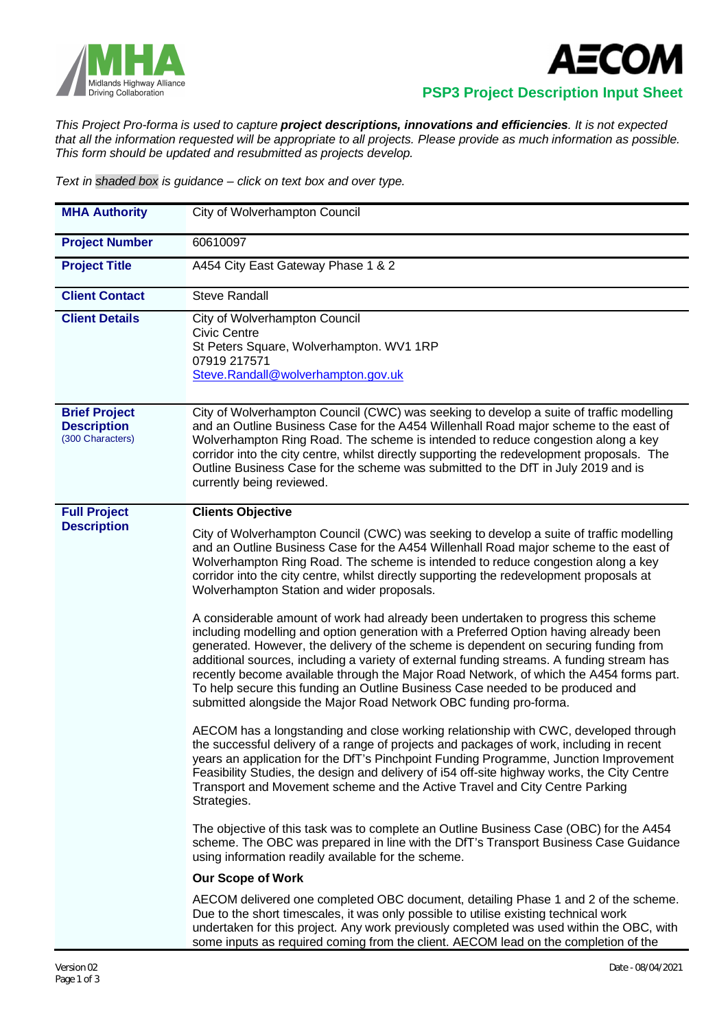



 **PSP3 Project Description Input Sheet**

*This Project Pro-forma is used to capture project descriptions, innovations and efficiencies. It is not expected that all the information requested will be appropriate to all projects. Please provide as much information as possible. This form should be updated and resubmitted as projects develop.*

*Text in shaded box is guidance – click on text box and over type.*

| <b>MHA Authority</b>                                           | City of Wolverhampton Council                                                                                                                                                                                                                                                                                                                                                                                                                                                                                                                                                                                     |  |  |
|----------------------------------------------------------------|-------------------------------------------------------------------------------------------------------------------------------------------------------------------------------------------------------------------------------------------------------------------------------------------------------------------------------------------------------------------------------------------------------------------------------------------------------------------------------------------------------------------------------------------------------------------------------------------------------------------|--|--|
| <b>Project Number</b>                                          | 60610097                                                                                                                                                                                                                                                                                                                                                                                                                                                                                                                                                                                                          |  |  |
| <b>Project Title</b>                                           | A454 City East Gateway Phase 1 & 2                                                                                                                                                                                                                                                                                                                                                                                                                                                                                                                                                                                |  |  |
| <b>Client Contact</b>                                          | <b>Steve Randall</b>                                                                                                                                                                                                                                                                                                                                                                                                                                                                                                                                                                                              |  |  |
| <b>Client Details</b>                                          | City of Wolverhampton Council<br><b>Civic Centre</b><br>St Peters Square, Wolverhampton. WV1 1RP<br>07919 217571<br>Steve.Randall@wolverhampton.gov.uk                                                                                                                                                                                                                                                                                                                                                                                                                                                            |  |  |
| <b>Brief Project</b><br><b>Description</b><br>(300 Characters) | City of Wolverhampton Council (CWC) was seeking to develop a suite of traffic modelling<br>and an Outline Business Case for the A454 Willenhall Road major scheme to the east of<br>Wolverhampton Ring Road. The scheme is intended to reduce congestion along a key<br>corridor into the city centre, whilst directly supporting the redevelopment proposals. The<br>Outline Business Case for the scheme was submitted to the DfT in July 2019 and is<br>currently being reviewed.                                                                                                                              |  |  |
| <b>Full Project</b>                                            | <b>Clients Objective</b>                                                                                                                                                                                                                                                                                                                                                                                                                                                                                                                                                                                          |  |  |
| <b>Description</b>                                             | City of Wolverhampton Council (CWC) was seeking to develop a suite of traffic modelling<br>and an Outline Business Case for the A454 Willenhall Road major scheme to the east of<br>Wolverhampton Ring Road. The scheme is intended to reduce congestion along a key<br>corridor into the city centre, whilst directly supporting the redevelopment proposals at<br>Wolverhampton Station and wider proposals.                                                                                                                                                                                                    |  |  |
|                                                                | A considerable amount of work had already been undertaken to progress this scheme<br>including modelling and option generation with a Preferred Option having already been<br>generated. However, the delivery of the scheme is dependent on securing funding from<br>additional sources, including a variety of external funding streams. A funding stream has<br>recently become available through the Major Road Network, of which the A454 forms part.<br>To help secure this funding an Outline Business Case needed to be produced and<br>submitted alongside the Major Road Network OBC funding pro-forma. |  |  |
|                                                                | AECOM has a longstanding and close working relationship with CWC, developed through<br>the successful delivery of a range of projects and packages of work, including in recent<br>years an application for the DfT's Pinchpoint Funding Programme, Junction Improvement<br>Feasibility Studies, the design and delivery of i54 off-site highway works, the City Centre<br>Transport and Movement scheme and the Active Travel and City Centre Parking<br>Strategies.                                                                                                                                             |  |  |
|                                                                | The objective of this task was to complete an Outline Business Case (OBC) for the A454<br>scheme. The OBC was prepared in line with the DfT's Transport Business Case Guidance<br>using information readily available for the scheme.                                                                                                                                                                                                                                                                                                                                                                             |  |  |
|                                                                | <b>Our Scope of Work</b>                                                                                                                                                                                                                                                                                                                                                                                                                                                                                                                                                                                          |  |  |
|                                                                | AECOM delivered one completed OBC document, detailing Phase 1 and 2 of the scheme.<br>Due to the short timescales, it was only possible to utilise existing technical work<br>undertaken for this project. Any work previously completed was used within the OBC, with<br>some inputs as required coming from the client. AECOM lead on the completion of the                                                                                                                                                                                                                                                     |  |  |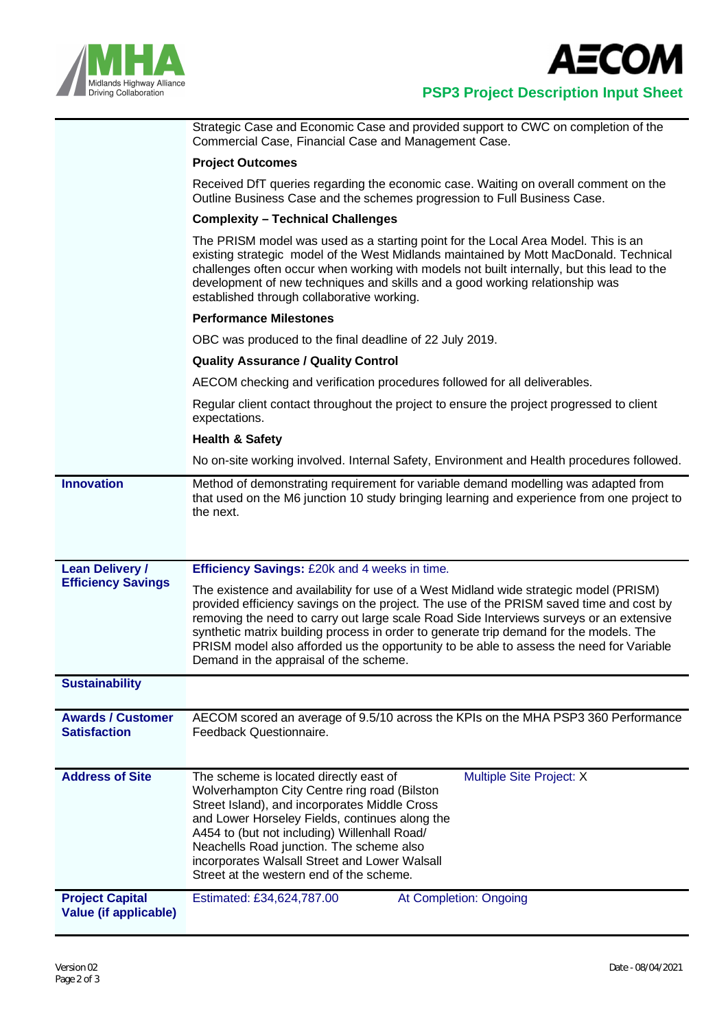



## **PSP3 Project Description Input Sheet**

Strategic Case and Economic Case and provided support to CWC on completion of the Commercial Case, Financial Case and Management Case.

#### **Project Outcomes**

Received DfT queries regarding the economic case. Waiting on overall comment on the Outline Business Case and the schemes progression to Full Business Case.

### **Complexity – Technical Challenges**

The PRISM model was used as a starting point for the Local Area Model. This is an existing strategic model of the West Midlands maintained by Mott MacDonald. Technical challenges often occur when working with models not built internally, but this lead to the development of new techniques and skills and a good working relationship was established through collaborative working.

### **Performance Milestones**

OBC was produced to the final deadline of 22 July 2019.

### **Quality Assurance / Quality Control**

AECOM checking and verification procedures followed for all deliverables.

Regular client contact throughout the project to ensure the project progressed to client expectations.

#### **Health & Safety**

No on-site working involved. Internal Safety, Environment and Health procedures followed.

**Innovation** Method of demonstrating requirement for variable demand modelling was adapted from that used on the M6 junction 10 study bringing learning and experience from one project to the next.

#### **Lean Delivery / Efficiency Savings Efficiency Savings:** £20k and 4 weeks in time. The existence and availability for use of a West Midland wide strategic model (PRISM) provided efficiency savings on the project. The use of the PRISM saved time and cost by

removing the need to carry out large scale Road Side Interviews surveys or an extensive synthetic matrix building process in order to generate trip demand for the models. The PRISM model also afforded us the opportunity to be able to assess the need for Variable Demand in the appraisal of the scheme.

# **Sustainability**

| <b>Awards / Customer</b><br><b>Satisfaction</b> | AECOM scored an average of 9.5/10 across the KPIs on the MHA PSP3 360 Performance<br>Feedback Questionnaire. |
|-------------------------------------------------|--------------------------------------------------------------------------------------------------------------|
|                                                 |                                                                                                              |

| <b>Address of Site</b>                          | The scheme is located directly east of<br>Wolverhampton City Centre ring road (Bilston<br>Street Island), and incorporates Middle Cross<br>and Lower Horseley Fields, continues along the<br>A454 to (but not including) Willenhall Road/<br>Neachells Road junction. The scheme also<br>incorporates Walsall Street and Lower Walsall<br>Street at the western end of the scheme. | Multiple Site Project: X |  |
|-------------------------------------------------|------------------------------------------------------------------------------------------------------------------------------------------------------------------------------------------------------------------------------------------------------------------------------------------------------------------------------------------------------------------------------------|--------------------------|--|
| <b>Project Capital</b><br>Value (if applicable) | Estimated: £34,624,787.00                                                                                                                                                                                                                                                                                                                                                          | At Completion: Ongoing   |  |